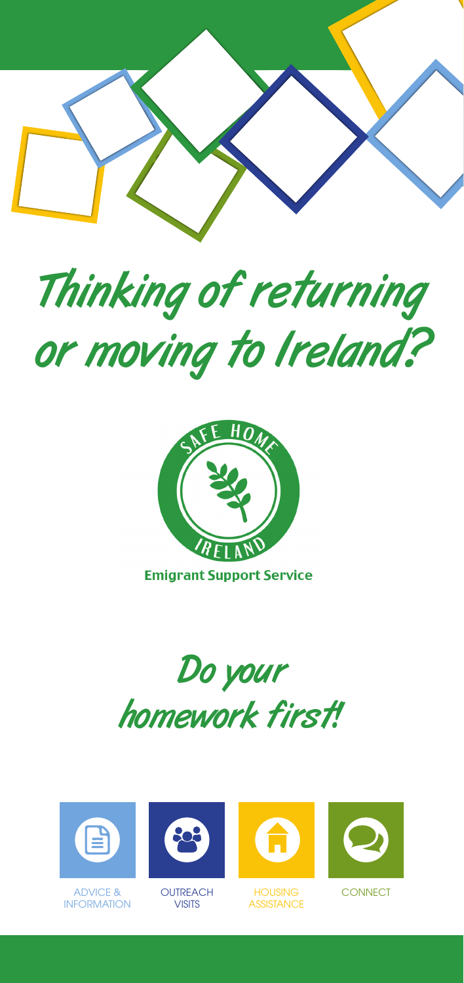

Thinking of returning or moving to Ireland?



# Do your homework first!

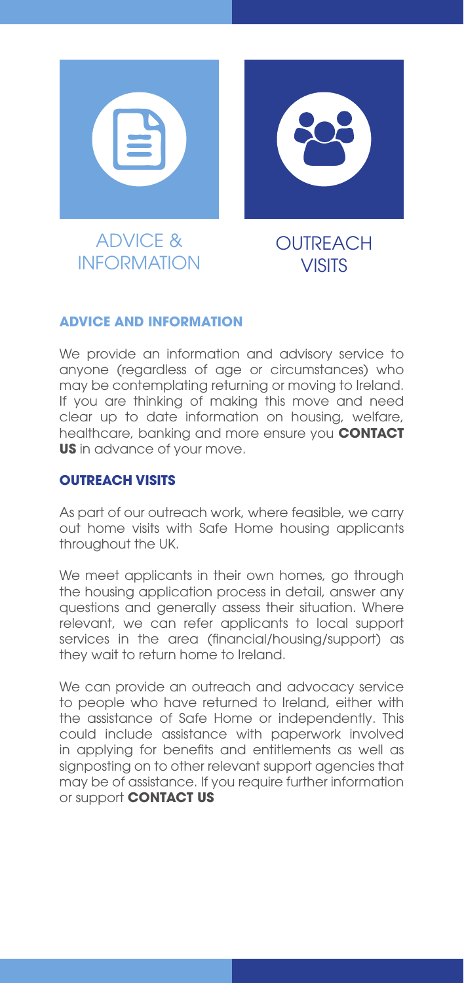



## ADVICE & INFORMATION

**OUTREACH VISITS** 

#### **ADVICE AND INFORMATION**

We provide an information and advisory service to anyone (regardless of age or circumstances) who may be contemplating returning or moving to Ireland. If you are thinking of making this move and need clear up to date information on housing, welfare, healthcare, banking and more ensure you **CONTACT US** in advance of your move.

#### **OUTREACH VISITS**

As part of our outreach work, where feasible, we carry out home visits with Safe Home housing applicants throughout the UK.

We meet applicants in their own homes, go through the housing application process in detail, answer any questions and generally assess their situation. Where relevant, we can refer applicants to local support services in the area (financial/housing/support) as they wait to return home to Ireland.

We can provide an outreach and advocacy service to people who have returned to Ireland, either with the assistance of Safe Home or independently. This could include assistance with paperwork involved in applying for benefits and entitlements as well as signposting on to other relevant support agencies that may be of assistance. If you require further information or support **CONTACT US**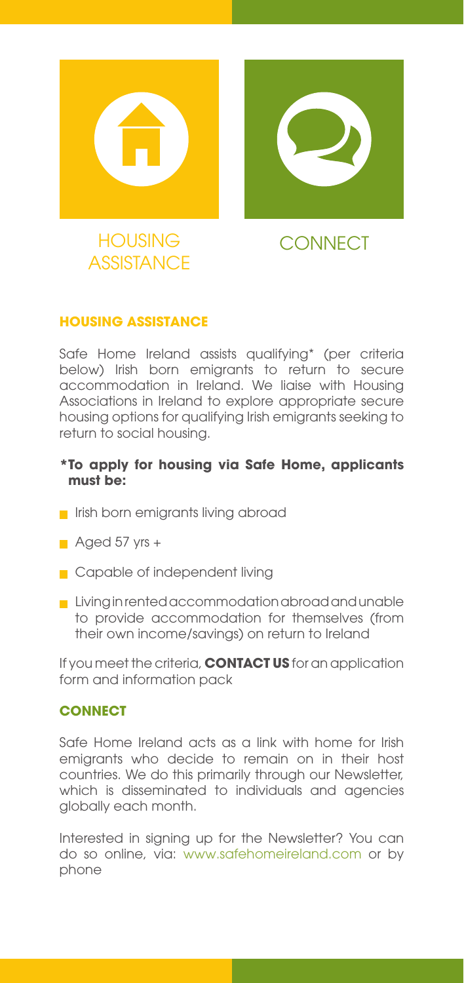



## **CONNECT**

#### **HOUSING ASSISTANCE**

Safe Home Ireland assists qualifying\* (per criteria below) Irish born emigrants to return to secure accommodation in Ireland. We liaise with Housing Associations in Ireland to explore appropriate secure housing options for qualifying Irish emigrants seeking to return to social housing.

#### **\*To apply for housing via Safe Home, applicants must be:**

- **In Irish born emigrants living abroad**
- $\blacksquare$  Aged 57 yrs +
- **Capable of independent living**
- **Living in rented accommodation abroad and unable** to provide accommodation for themselves (from their own income/savings) on return to Ireland

If you meet the criteria, **CONTACT US** for an application form and information pack

#### **CONNECT**

Safe Home Ireland acts as a link with home for Irish emigrants who decide to remain on in their host countries. We do this primarily through our Newsletter, which is disseminated to individuals and agencies globally each month.

Interested in signing up for the Newsletter? You can do so online, via: www.safehomeireland.com or by phone